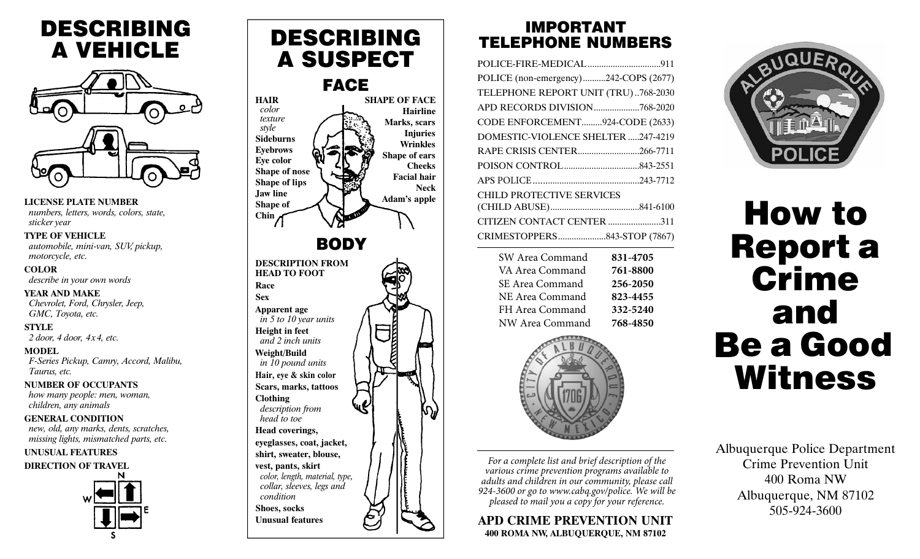# DESCRIBING A VEHICLE



**LICENSE PLATE NUMBER** *numbers, letters, words, colors, state, sticker year*

### **TYPE OF VEHICLE**

*automobile, mini-van, SUV, pickup, motorcycle, etc.*

**COLOR**  *describe in your own words*

#### **YEAR AND MAKE**

*Chevrolet, Ford, Chrysler, Jeep, GMC, Toyota, etc.*

**STYLE**

*2 door, 4 door, 4 x 4, etc.*

### **MODEL**

*F-Series Pickup, Camry, Accord, Malibu, Taurus, etc.*

### **NUMBER OF OCCUPANTS**

*how many people: men, woman, children, any animals*

### **GENERAL CONDITION**

*new, old, any marks, dents, scratches, missing lights, mismatched parts, etc.*

### **UNUSUAL FEATURES**

**DIRECTION OF TRAVEL**



## DESCRIBING A SUSPECT

## FACE



### IMPORTANT TELEPHONE NUMBERS

| POLICE (non-emergency)242-COPS (2677) |          |  |  |  |
|---------------------------------------|----------|--|--|--|
| TELEPHONE REPORT UNIT (TRU)768-2030   |          |  |  |  |
| APD RECORDS DIVISION768-2020          |          |  |  |  |
| CODE ENFORCEMENT924-CODE (2633)       |          |  |  |  |
| DOMESTIC-VIOLENCE SHELTER 247-4219    |          |  |  |  |
| RAPE CRISIS CENTER266-7711            |          |  |  |  |
|                                       |          |  |  |  |
|                                       |          |  |  |  |
| <b>CHILD PROTECTIVE SERVICES</b>      |          |  |  |  |
|                                       |          |  |  |  |
| CITIZEN CONTACT CENTER 311            |          |  |  |  |
| CRIMESTOPPERS843-STOP (7867)          |          |  |  |  |
| SW Area Command                       | 831-4705 |  |  |  |
| VA Area Command                       | 761-8800 |  |  |  |
| SE Area Command                       | 256-2050 |  |  |  |
| NE Area Command                       | 823-4455 |  |  |  |
| FH Area Command                       | 332-5240 |  |  |  |
| NW Area Command                       | 768-4850 |  |  |  |



*For a complete list and brief description of the For a complete list and brief description of the various crime prevention programs available to various crime prevention programs available to adults and children in our community, please call adults and children in our community, please call 924-3600 during normal working hours. We will be 924-3600 or go to www.cabq.gov/police. We will be pleased to mail you a copy for your reference. pleased to mail you a copy for your reference.*

### **APD CRIME PREVENTION UNIT 400 ROMA NW, ALBUQUERQUE, NM 87102**



# How to Report a **Crime** and be a Good Witness B

Albuquerque Police Department Crime Prevention Unit 400 Roma NW Albuquerque, NM 87102 505-924-3600